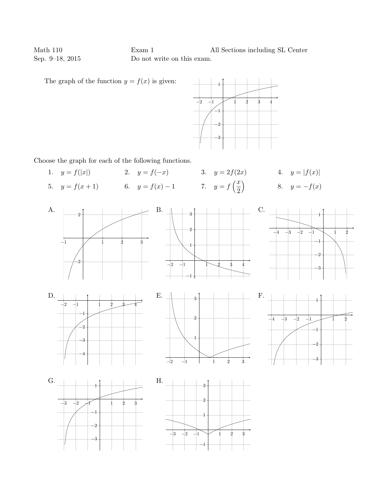Math 110 Exam 1 All Sections including SL Center Sep. 9–18, 2015 Do not write on this exam.

The graph of the function  $y = f(x)$  is given:



Choose the graph for each of the following functions.

1.  $y = f(|x|)$  2.  $y = f(-x)$  3.  $y = 2f(2x)$  4.  $y = |f(x)|$ 5.  $y = f(x+1)$  6.  $y = f(x) - 1$  7.  $y = f\left(\frac{x}{2}\right)$ 2  $\big)$  8.  $y = -f(x)$ 



−1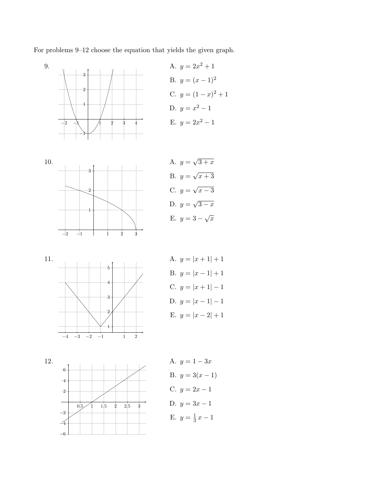For problems 9–12 choose the equation that yields the given graph.







A.  $y=$ √  $3 + x$  $B. y =$ √  $x + 3$ C.  $y =$ √  $x-3$ D.  $y=$ √  $3 - x$ E.  $y = 3 - \sqrt{x}$ 



A.  $y = |x + 1| + 1$ B.  $y = |x - 1| + 1$ C.  $y = |x + 1| - 1$ D.  $y = |x - 1| - 1$ E.  $y = |x - 2| + 1$ 

12.



A.  $y = 1 - 3x$ B.  $y = 3(x - 1)$ C.  $y = 2x - 1$ D.  $y = 3x - 1$ E.  $y = \frac{1}{3}$  $\frac{1}{3}x-1$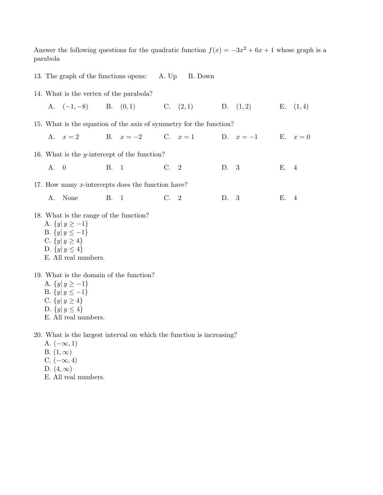Answer the following questions for the quadratic function  $f(x) = -3x^2 + 6x + 1$  whose graph is a parabola

- 13. The graph of the functions opens: A. Up B. Down
- 14. What is the vertex of the parabola?

A. (−1, −8) B. (0, 1) C. (2, 1) D. (1, 2) E. (1, 4)

15. What is the equation of the axis of symmetry for the function?

A.  $x = 2$  B.  $x = -2$  C.  $x = 1$  D.  $x = -1$  E.  $x = 0$ 

16. What is the y-intercept of the function?

A. 0 B. 1 C. 2 D. 3 E. 4

17. How many  $x$ -intercepts does the function have?

A. None B. 1 C. 2 D. 3 E. 4

- 18. What is the range of the function?
	- A.  $\{y | y \ge -1\}$
	- B.  $\{y | y \le -1\}$
	- C.  $\{y | y \ge 4\}$
	- D.  $\{y | y \leq 4\}$
	- E. All real numbers.
- 19. What is the domain of the function?
	- A.  $\{y | y \ge -1\}$
	- B.  $\{y | y \leq -1\}$
	- C.  $\{y | y \ge 4\}$
	- D.  $\{y | y \leq 4\}$
	- E. All real numbers.

20. What is the largest interval on which the function is increasing?

- A.  $(-\infty, 1)$
- B.  $(1, \infty)$
- C.  $(-\infty, 4)$
- D.  $(4,\infty)$
- E. All real numbers.